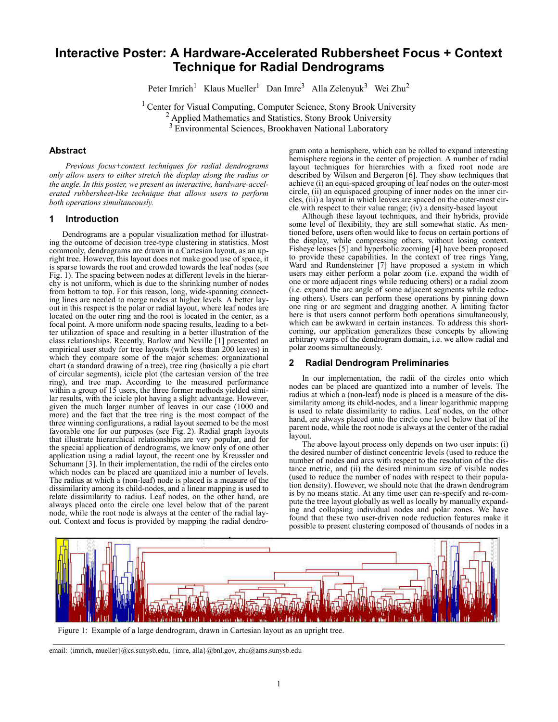# **Interactive Poster: A Hardware-Accelerated Rubbersheet Focus + Context Technique for Radial Dendrograms**

Peter Imrich<sup>1</sup> Klaus Mueller<sup>1</sup> Dan Imre<sup>3</sup> Alla Zelenyuk<sup>3</sup> Wei Zhu<sup>2</sup>

<sup>1</sup> Center for Visual Computing, Computer Science, Stony Brook University <sup>2</sup> Applied Mathematics and Statistics, Stony Brook University <sup>3</sup> Environmental Sciences, Brookhaven National Laboratory

# **Abstract**

*Previous focus+context techniques for radial dendrograms only allow users to either stretch the display along the radius or the angle. In this poster, we present an interactive, hardware-accelerated rubbersheet-like technique that allows users to perform both operations simultaneously.* 

## **1 Introduction**

Dendrograms are a popular visualization method for illustrating the outcome of decision tree-type clustering in statistics. Most commonly, dendrograms are drawn in a Cartesian layout, as an upright tree. However, this layout does not make good use of space, it is sparse towards the root and crowded towards the leaf nodes (see Fig. 1). The spacing between nodes at different levels in the hierarchy is not uniform, which is due to the shrinking number of nodes from bottom to top. For this reason, long, wide-spanning connecting lines are needed to merge nodes at higher levels. A better layout in this respect is the polar or radial layout, where leaf nodes are located on the outer ring and the root is located in the center, as a focal point. A more uniform node spacing results, leading to a better utilization of space and resulting in a better illustration of the class relationships. Recently, Barlow and Neville [1] presented an empirical user study for tree layouts (with less than  $200$  leaves) in which they compare some of the major schemes: organizational chart (a standard drawing of a tree), tree ring (basically a pie chart of circular segments), icicle plot (the cartesian version of the tree ring), and tree map. According to the measured performance within a group of  $15$  users, the three former methods yielded similar results, with the icicle plot having a slight advantage. However, given the much larger number of leaves in our case (1000 and more) and the fact that the tree ring is the most compact of the three winning configurations, a radial layout seemed to be the most favorable one for our purposes (see Fig. 2). Radial graph layouts that illustrate hierarchical relationships are very popular, and for the special application of dendrograms, we know only of one other application using a radial layout, the recent one by Kreussler and Schumann [3]. In their implementation, the radii of the circles onto which nodes can be placed are quantized into a number of levels. The radius at which a (non-leaf) node is placed is a measure of the dissimilarity among its child-nodes, and a linear mapping is used to relate dissimilarity to radius. Leaf nodes, on the other hand, are always placed onto the circle one level below that of the parent node, while the root node is always at the center of the radial layout. Context and focus is provided by mapping the radial dendrogram onto a hemisphere, which can be rolled to expand interesting hemisphere regions in the center of projection. A number of radial layout techniques for hierarchies with a fixed root node are described by Wilson and Bergeron [6]. They show techniques that achieve (i) an equi-spaced grouping of leaf nodes on the outer-most circle, (ii) an equispaced grouping of inner nodes on the inner circles, (iii) a layout in which leaves are spaced on the outer-most circle with respect to their value range;  $(i\hat{v})$  a density-based layout

Although these layout techniques, and their hybrids, provide some level of flexibility, they are still somewhat static. As mentioned before, users often would like to focus on certain portions of the display, while compressing others, without losing context. Fisheye lenses [5] and hyperbolic zooming [4] have been proposed to provide these capabilities. In the context of tree rings Yang, Ward and Rundensteiner [7] have proposed a system in which users may either perform a polar zoom (i.e. expand the width of one or more adjacent rings while reducing others) or a radial zoom (i.e. expand the arc angle of some adjacent segments while reducing others). Users can perform these operations by pinning down one ring or arc segment and dragging another. A limiting factor here is that users cannot perform both operations simultaneously, which can be awkward in certain instances. To address this shortcoming, our application generalizes these concepts by allowing arbitrary warps of the dendrogram domain, i.e. we allow radial and polar zooms simultaneously.

# **2 Radial Dendrogram Preliminaries**

In our implementation, the radii of the circles onto which nodes can be placed are quantized into a number of levels. The radius at which a (non-leaf) node is placed is a measure of the dissimilarity among its child-nodes, and a linear logarithmic mapping is used to relate dissimilarity to radius. Leaf nodes, on the other hand, are always placed onto the circle one level below that of the parent node, while the root node is always at the center of the radial layout.

The above layout process only depends on two user inputs: (i) the desired number of distinct concentric levels (used to reduce the number of nodes and arcs with respect to the resolution of the distance metric, and (ii) the desired minimum size of visible nodes (used to reduce the number of nodes with respect to their population density). However, we should note that the drawn dendrogram is by no means static. At any time user can re-specify and re-compute the tree layout globally as well as locally by manually expanding and collapsing individual nodes and polar zones. We have found that these two user-driven node reduction features make it possible to present clustering composed of thousands of nodes in a



Figure 1: Example of a large dendrogram, drawn in Cartesian layout as an upright tree.

email: {imrich, mueller}@cs.sunysb.edu, {imre, alla}@bnl.gov, zhu@ams.sunysb.edu